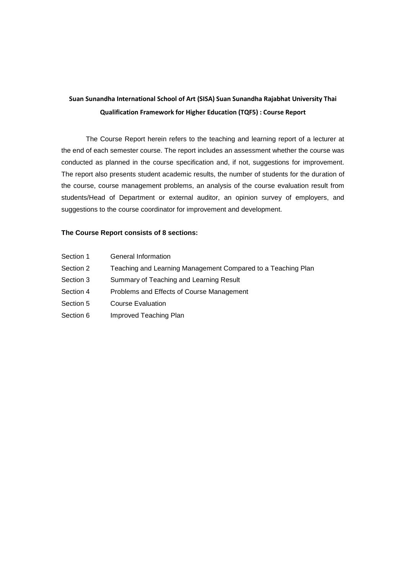# **Suan Sunandha International School of Art (SISA) Suan Sunandha Rajabhat University Thai Qualification Framework for Higher Education (TQF5) : Course Report**

The Course Report herein refers to the teaching and learning report of a lecturer at the end of each semester course. The report includes an assessment whether the course was conducted as planned in the course specification and, if not, suggestions for improvement. The report also presents student academic results, the number of students for the duration of the course, course management problems, an analysis of the course evaluation result from students/Head of Department or external auditor, an opinion survey of employers, and suggestions to the course coordinator for improvement and development.

#### **The Course Report consists of 8 sections:**

- Section 1 General Information
- Section 2 Teaching and Learning Management Compared to a Teaching Plan
- Section 3 Summary of Teaching and Learning Result
- Section 4 Problems and Effects of Course Management
- Section 5 Course Evaluation
- Section 6 Improved Teaching Plan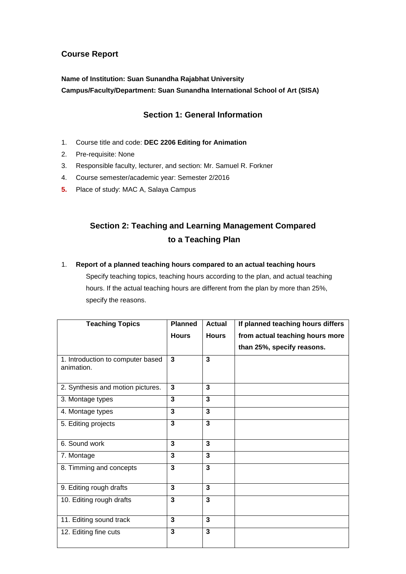## **Course Report**

# **Name of Institution: Suan Sunandha Rajabhat University Campus/Faculty/Department: Suan Sunandha International School of Art (SISA)**

## **Section 1: General Information**

- 1. Course title and code: **DEC 2206 Editing for Animation**
- 2. Pre-requisite: None
- 3. Responsible faculty, lecturer, and section: Mr. Samuel R. Forkner
- 4. Course semester/academic year: Semester 2/2016
- **5.** Place of study: MAC A, Salaya Campus

# **Section 2: Teaching and Learning Management Compared to a Teaching Plan**

#### 1. **Report of a planned teaching hours compared to an actual teaching hours**

Specify teaching topics, teaching hours according to the plan, and actual teaching hours. If the actual teaching hours are different from the plan by more than 25%, specify the reasons.

| <b>Teaching Topics</b>                          | <b>Planned</b>          | <b>Actual</b>           | If planned teaching hours differs |
|-------------------------------------------------|-------------------------|-------------------------|-----------------------------------|
|                                                 | <b>Hours</b>            | <b>Hours</b>            | from actual teaching hours more   |
|                                                 |                         |                         | than 25%, specify reasons.        |
| 1. Introduction to computer based<br>animation. | 3                       | 3                       |                                   |
| 2. Synthesis and motion pictures.               | 3                       | 3                       |                                   |
| 3. Montage types                                | 3                       | $\overline{\mathbf{3}}$ |                                   |
| 4. Montage types                                | 3                       | 3                       |                                   |
| 5. Editing projects                             | 3                       | $\overline{\mathbf{3}}$ |                                   |
| 6. Sound work                                   | 3                       | $\overline{3}$          |                                   |
| 7. Montage                                      | 3                       | $\overline{3}$          |                                   |
| 8. Timming and concepts                         | $\overline{\mathbf{3}}$ | $\overline{\mathbf{3}}$ |                                   |
| 9. Editing rough drafts                         | 3                       | 3                       |                                   |
| 10. Editing rough drafts                        | 3                       | 3                       |                                   |
| 11. Editing sound track                         | $\overline{3}$          | $\overline{\mathbf{3}}$ |                                   |
| 12. Editing fine cuts                           | $\overline{3}$          | $\overline{3}$          |                                   |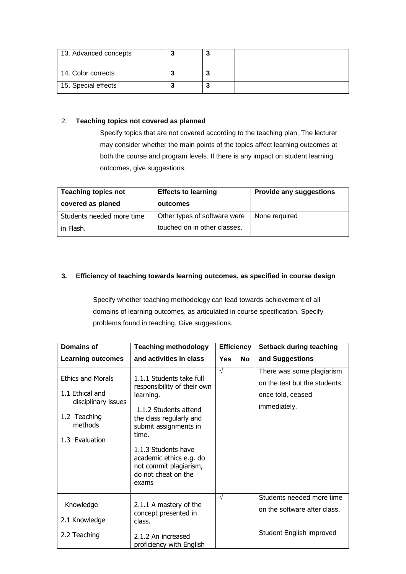| 13. Advanced concepts |  |  |
|-----------------------|--|--|
| 14. Color corrects    |  |  |
| 15. Special effects   |  |  |

#### 2. **Teaching topics not covered as planned**

Specify topics that are not covered according to the teaching plan. The lecturer may consider whether the main points of the topics affect learning outcomes at both the course and program levels. If there is any impact on student learning outcomes, give suggestions.

| <b>Teaching topics not</b><br>covered as planed | <b>Effects to learning</b><br>outcomes | <b>Provide any suggestions</b> |
|-------------------------------------------------|----------------------------------------|--------------------------------|
| Students needed more time                       | Other types of software were           | None required                  |
| in Flash.                                       | touched on in other classes.           |                                |

### **3. Efficiency of teaching towards learning outcomes, as specified in course design**

Specify whether teaching methodology can lead towards achievement of all domains of learning outcomes, as articulated in course specification. Specify problems found in teaching. Give suggestions.

| <b>Domains of</b>                                                                                               | <b>Teaching methodology</b><br><b>Efficiency</b>                                                                                                                                                                                                                       |            | <b>Setback during teaching</b> |                                                                                                 |
|-----------------------------------------------------------------------------------------------------------------|------------------------------------------------------------------------------------------------------------------------------------------------------------------------------------------------------------------------------------------------------------------------|------------|--------------------------------|-------------------------------------------------------------------------------------------------|
| <b>Learning outcomes</b>                                                                                        | and activities in class                                                                                                                                                                                                                                                | <b>Yes</b> | <b>No</b>                      | and Suggestions                                                                                 |
| <b>Ethics and Morals</b><br>1.1 Ethical and<br>disciplinary issues<br>1.2 Teaching<br>methods<br>1.3 Evaluation | 1.1.1 Students take full<br>responsibility of their own<br>learning.<br>1.1.2 Students attend<br>the class regularly and<br>submit assignments in<br>time.<br>1.1.3 Students have<br>academic ethics e.g. do<br>not commit plagiarism,<br>do not cheat on the<br>exams | $\sqrt{ }$ |                                | There was some plagiarism<br>on the test but the students,<br>once told, ceased<br>immediately. |
| Knowledge<br>2.1 Knowledge                                                                                      | 2.1.1 A mastery of the<br>concept presented in<br>class.                                                                                                                                                                                                               | √          |                                | Students needed more time<br>on the software after class.                                       |
| 2.2 Teaching                                                                                                    | 2.1.2 An increased<br>proficiency with English                                                                                                                                                                                                                         |            |                                | Student English improved                                                                        |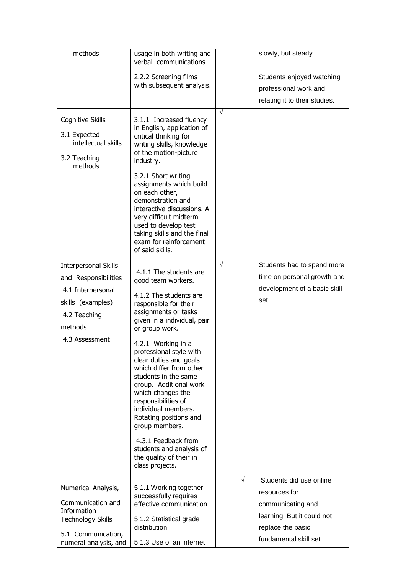| methods                                                                                                                                    | usage in both writing and<br>verbal communications                                                                                                                                                                                                                                                                                                                                                                                                                                                                                               |            |            | slowly, but steady                                                                                |
|--------------------------------------------------------------------------------------------------------------------------------------------|--------------------------------------------------------------------------------------------------------------------------------------------------------------------------------------------------------------------------------------------------------------------------------------------------------------------------------------------------------------------------------------------------------------------------------------------------------------------------------------------------------------------------------------------------|------------|------------|---------------------------------------------------------------------------------------------------|
|                                                                                                                                            | 2.2.2 Screening films                                                                                                                                                                                                                                                                                                                                                                                                                                                                                                                            |            |            | Students enjoyed watching                                                                         |
|                                                                                                                                            | with subsequent analysis.                                                                                                                                                                                                                                                                                                                                                                                                                                                                                                                        |            |            | professional work and                                                                             |
|                                                                                                                                            |                                                                                                                                                                                                                                                                                                                                                                                                                                                                                                                                                  |            |            | relating it to their studies.                                                                     |
| <b>Cognitive Skills</b><br>3.1 Expected<br>intellectual skills<br>3.2 Teaching<br>methods                                                  | 3.1.1 Increased fluency<br>in English, application of<br>critical thinking for<br>writing skills, knowledge<br>of the motion-picture<br>industry.<br>3.2.1 Short writing<br>assignments which build<br>on each other,<br>demonstration and<br>interactive discussions. A<br>very difficult midterm<br>used to develop test<br>taking skills and the final<br>exam for reinforcement                                                                                                                                                              | $\sqrt{ }$ |            |                                                                                                   |
|                                                                                                                                            | of said skills.                                                                                                                                                                                                                                                                                                                                                                                                                                                                                                                                  |            |            |                                                                                                   |
| <b>Interpersonal Skills</b><br>and Responsibilities<br>4.1 Interpersonal<br>skills (examples)<br>4.2 Teaching<br>methods<br>4.3 Assessment | 4.1.1 The students are<br>good team workers.<br>4.1.2 The students are<br>responsible for their<br>assignments or tasks<br>given in a individual, pair<br>or group work.<br>4.2.1 Working in a<br>professional style with<br>clear duties and goals<br>which differ from other<br>students in the same<br>group. Additional work<br>which changes the<br>responsibilities of<br>individual members.<br>Rotating positions and<br>group members.<br>4.3.1 Feedback from<br>students and analysis of<br>the quality of their in<br>class projects. | $\sqrt{ }$ |            | Students had to spend more<br>time on personal growth and<br>development of a basic skill<br>set. |
| Numerical Analysis,<br>Communication and<br>Information                                                                                    | 5.1.1 Working together<br>successfully requires<br>effective communication.                                                                                                                                                                                                                                                                                                                                                                                                                                                                      |            | $\sqrt{ }$ | Students did use online<br>resources for<br>communicating and<br>learning. But it could not       |
| <b>Technology Skills</b>                                                                                                                   | 5.1.2 Statistical grade<br>distribution.                                                                                                                                                                                                                                                                                                                                                                                                                                                                                                         |            |            | replace the basic                                                                                 |
| 5.1 Communication,<br>numeral analysis, and                                                                                                | 5.1.3 Use of an internet                                                                                                                                                                                                                                                                                                                                                                                                                                                                                                                         |            |            | fundamental skill set                                                                             |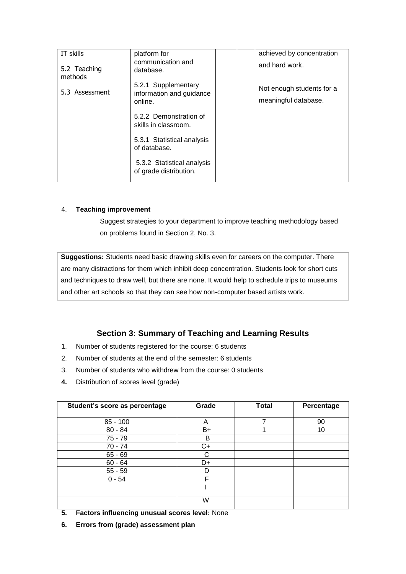| IT skills               | platform for<br>communication and                    |  | achieved by concentration<br>and hard work. |
|-------------------------|------------------------------------------------------|--|---------------------------------------------|
| 5.2 Teaching<br>methods | database.                                            |  |                                             |
| 5.3 Assessment          | 5.2.1 Supplementary<br>information and guidance      |  | Not enough students for a                   |
|                         | online.                                              |  | meaningful database.                        |
|                         | 5.2.2 Demonstration of<br>skills in classroom.       |  |                                             |
|                         | 5.3.1 Statistical analysis<br>of database.           |  |                                             |
|                         | 5.3.2 Statistical analysis<br>of grade distribution. |  |                                             |

#### 4. **Teaching improvement**

Suggest strategies to your department to improve teaching methodology based on problems found in Section 2, No. 3.

**Suggestions:** Students need basic drawing skills even for careers on the computer. There are many distractions for them which inhibit deep concentration. Students look for short cuts and techniques to draw well, but there are none. It would help to schedule trips to museums and other art schools so that they can see how non-computer based artists work.

## **Section 3: Summary of Teaching and Learning Results**

- 1. Number of students registered for the course: 6 students
- 2. Number of students at the end of the semester: 6 students
- 3. Number of students who withdrew from the course: 0 students
- **4.** Distribution of scores level (grade)

| Student's score as percentage | Grade | <b>Total</b> | Percentage |
|-------------------------------|-------|--------------|------------|
| $85 - 100$                    | A     | 7            | 90         |
| $80 - 84$                     | $B+$  |              | 10         |
| $75 - 79$                     | В     |              |            |
| $70 - 74$                     | $C+$  |              |            |
| $65 - 69$                     | С     |              |            |
| $60 - 64$                     | D+    |              |            |
| $55 - 59$                     | D     |              |            |
| $0 - 54$                      | F     |              |            |
|                               |       |              |            |
|                               | W     |              |            |

- **5. Factors influencing unusual scores level:** None
- **6. Errors from (grade) assessment plan**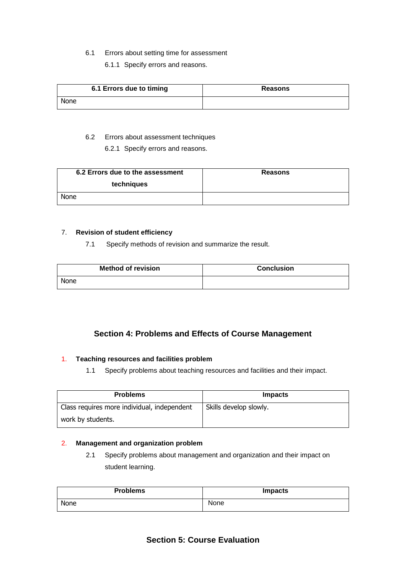#### 6.1 Errors about setting time for assessment

6.1.1 Specify errors and reasons.

|      | 6.1 Errors due to timing | <b>Reasons</b> |
|------|--------------------------|----------------|
| None |                          |                |

#### 6.2 Errors about assessment techniques

6.2.1 Specify errors and reasons.

| 6.2 Errors due to the assessment | <b>Reasons</b> |
|----------------------------------|----------------|
| techniques                       |                |
| <b>None</b>                      |                |

#### 7. **Revision of student efficiency**

7.1 Specify methods of revision and summarize the result.

| <b>Method of revision</b> | <b>Conclusion</b> |
|---------------------------|-------------------|
| None                      |                   |

# **Section 4: Problems and Effects of Course Management**

#### 1. **Teaching resources and facilities problem**

1.1 Specify problems about teaching resources and facilities and their impact.

| <b>Problems</b>                             | <b>Impacts</b>         |
|---------------------------------------------|------------------------|
| Class requires more individual, independent | Skills develop slowly. |
| work by students.                           |                        |

#### 2. **Management and organization problem**

2.1 Specify problems about management and organization and their impact on student learning.

| <b>Problems</b> | <b>Impacts</b> |
|-----------------|----------------|
| None            | None           |

## **Section 5: Course Evaluation**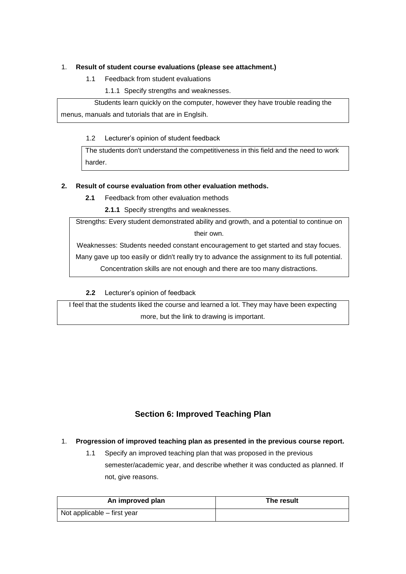#### 1. **Result of student course evaluations (please see attachment.)**

- 1.1 Feedback from student evaluations
	- 1.1.1 Specify strengths and weaknesses.

Students learn quickly on the computer, however they have trouble reading the menus, manuals and tutorials that are in Englsih.

1.2 Lecturer's opinion of student feedback

The students don't understand the competitiveness in this field and the need to work harder.

#### **2. Result of course evaluation from other evaluation methods.**

**2.1** Feedback from other evaluation methods

**2.1.1** Specify strengths and weaknesses.

Strengths: Every student demonstrated ability and growth, and a potential to continue on their own.

Weaknesses: Students needed constant encouragement to get started and stay focues.

Many gave up too easily or didn't really try to advance the assignment to its full potential.

Concentration skills are not enough and there are too many distractions.

**2.2** Lecturer's opinion of feedback

I feel that the students liked the course and learned a lot. They may have been expecting more, but the link to drawing is important.

# **Section 6: Improved Teaching Plan**

#### 1. **Progression of improved teaching plan as presented in the previous course report.**

1.1 Specify an improved teaching plan that was proposed in the previous semester/academic year, and describe whether it was conducted as planned. If not, give reasons.

| An improved plan            | The result |
|-----------------------------|------------|
| Not applicable – first year |            |